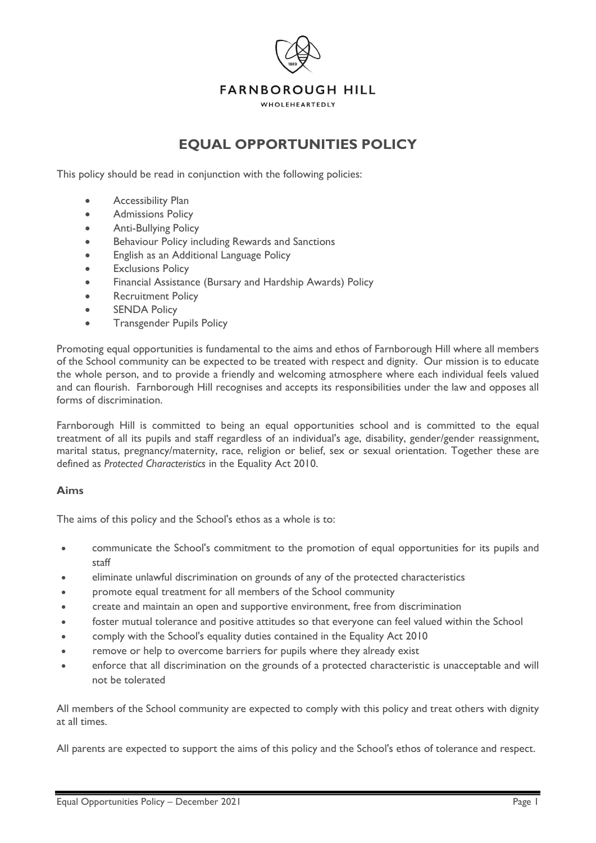

# **EQUAL OPPORTUNITIES POLICY**

This policy should be read in conjunction with the following policies:

- Accessibility Plan
- Admissions Policy
- Anti-Bullying Policy
- Behaviour Policy including Rewards and Sanctions
- English as an Additional Language Policy
- **Exclusions Policy**
- Financial Assistance (Bursary and Hardship Awards) Policy
- Recruitment Policy
- **SENDA Policy**
- Transgender Pupils Policy

Promoting equal opportunities is fundamental to the aims and ethos of Farnborough Hill where all members of the School community can be expected to be treated with respect and dignity. Our mission is to educate the whole person, and to provide a friendly and welcoming atmosphere where each individual feels valued and can flourish. Farnborough Hill recognises and accepts its responsibilities under the law and opposes all forms of discrimination.

Farnborough Hill is committed to being an equal opportunities school and is committed to the equal treatment of all its pupils and staff regardless of an individual's age, disability, gender/gender reassignment, marital status, pregnancy/maternity, race, religion or belief, sex or sexual orientation. Together these are defined as *Protected Characteristics* in the Equality Act 2010.

## **Aims**

The aims of this policy and the School's ethos as a whole is to:

- communicate the School's commitment to the promotion of equal opportunities for its pupils and staff
- eliminate unlawful discrimination on grounds of any of the protected characteristics
- promote equal treatment for all members of the School community
- create and maintain an open and supportive environment, free from discrimination
- foster mutual tolerance and positive attitudes so that everyone can feel valued within the School
- comply with the School's equality duties contained in the Equality Act 2010
- remove or help to overcome barriers for pupils where they already exist
- enforce that all discrimination on the grounds of a protected characteristic is unacceptable and will not be tolerated

All members of the School community are expected to comply with this policy and treat others with dignity at all times.

All parents are expected to support the aims of this policy and the School's ethos of tolerance and respect.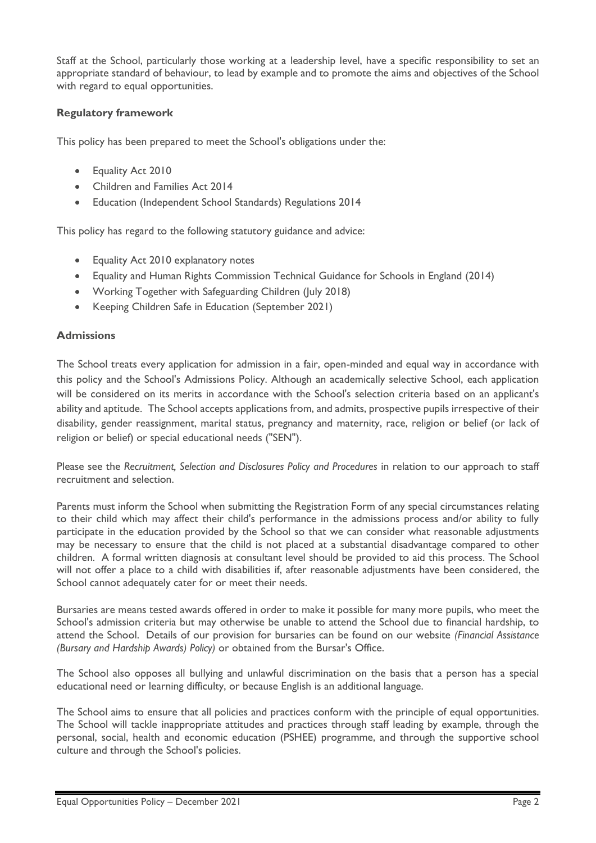Staff at the School, particularly those working at a leadership level, have a specific responsibility to set an appropriate standard of behaviour, to lead by example and to promote the aims and objectives of the School with regard to equal opportunities.

## **Regulatory framework**

This policy has been prepared to meet the School's obligations under the:

- Equality Act 2010
- Children and Families Act 2014
- Education (Independent School Standards) Regulations 2014

This policy has regard to the following statutory guidance and advice:

- Equality Act 2010 explanatory notes
- Equality and Human Rights Commission Technical Guidance for Schools in England (2014)
- Working Together with Safeguarding Children (July 2018)
- Keeping Children Safe in Education (September 2021)

#### **Admissions**

The School treats every application for admission in a fair, open-minded and equal way in accordance with this policy and the School's Admissions Policy. Although an academically selective School, each application will be considered on its merits in accordance with the School's selection criteria based on an applicant's ability and aptitude. The School accepts applications from, and admits, prospective pupils irrespective of their disability, gender reassignment, marital status, pregnancy and maternity, race, religion or belief (or lack of religion or belief) or special educational needs ("SEN").

Please see the *Recruitment, Selection and Disclosures Policy and Procedures* in relation to our approach to staff recruitment and selection.

Parents must inform the School when submitting the Registration Form of any special circumstances relating to their child which may affect their child's performance in the admissions process and/or ability to fully participate in the education provided by the School so that we can consider what reasonable adjustments may be necessary to ensure that the child is not placed at a substantial disadvantage compared to other children. A formal written diagnosis at consultant level should be provided to aid this process. The School will not offer a place to a child with disabilities if, after reasonable adjustments have been considered, the School cannot adequately cater for or meet their needs.

Bursaries are means tested awards offered in order to make it possible for many more pupils, who meet the School's admission criteria but may otherwise be unable to attend the School due to financial hardship, to attend the School. Details of our provision for bursaries can be found on our website *(Financial Assistance (Bursary and Hardship Awards) Policy)* or obtained from the Bursar's Office.

The School also opposes all bullying and unlawful discrimination on the basis that a person has a special educational need or learning difficulty, or because English is an additional language.

The School aims to ensure that all policies and practices conform with the principle of equal opportunities. The School will tackle inappropriate attitudes and practices through staff leading by example, through the personal, social, health and economic education (PSHEE) programme, and through the supportive school culture and through the School's policies.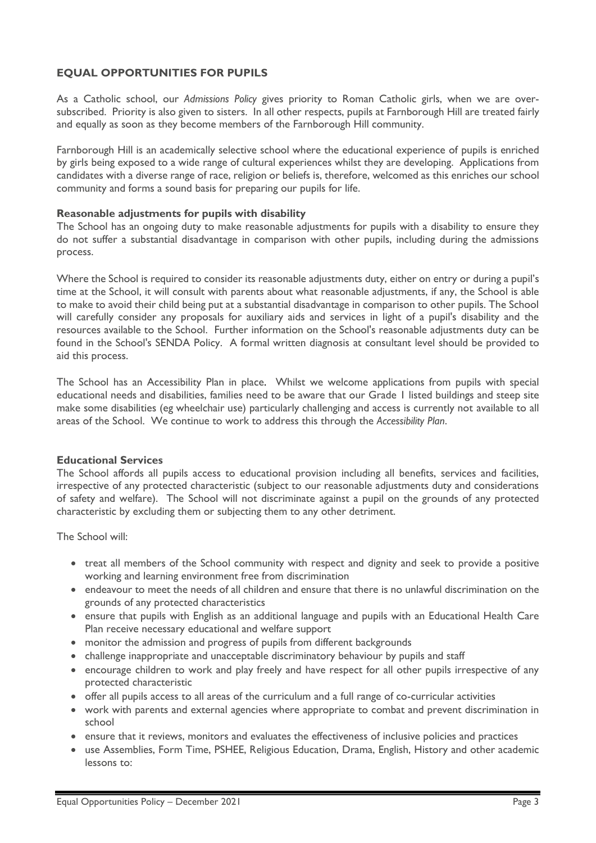## **EQUAL OPPORTUNITIES FOR PUPILS**

As a Catholic school, our *Admissions Policy* gives priority to Roman Catholic girls, when we are oversubscribed. Priority is also given to sisters. In all other respects, pupils at Farnborough Hill are treated fairly and equally as soon as they become members of the Farnborough Hill community.

Farnborough Hill is an academically selective school where the educational experience of pupils is enriched by girls being exposed to a wide range of cultural experiences whilst they are developing. Applications from candidates with a diverse range of race, religion or beliefs is, therefore, welcomed as this enriches our school community and forms a sound basis for preparing our pupils for life.

#### **Reasonable adjustments for pupils with disability**

The School has an ongoing duty to make reasonable adjustments for pupils with a disability to ensure they do not suffer a substantial disadvantage in comparison with other pupils, including during the admissions process.

Where the School is required to consider its reasonable adjustments duty, either on entry or during a pupil's time at the School, it will consult with parents about what reasonable adjustments, if any, the School is able to make to avoid their child being put at a substantial disadvantage in comparison to other pupils. The School will carefully consider any proposals for auxiliary aids and services in light of a pupil's disability and the resources available to the School. Further information on the School's reasonable adjustments duty can be found in the School's SENDA Policy. A formal written diagnosis at consultant level should be provided to aid this process.

The School has an Accessibility Plan in place. Whilst we welcome applications from pupils with special educational needs and disabilities, families need to be aware that our Grade 1 listed buildings and steep site make some disabilities (eg wheelchair use) particularly challenging and access is currently not available to all areas of the School. We continue to work to address this through the *Accessibility Plan*.

#### **Educational Services**

The School affords all pupils access to educational provision including all benefits, services and facilities, irrespective of any protected characteristic (subject to our reasonable adjustments duty and considerations of safety and welfare). The School will not discriminate against a pupil on the grounds of any protected characteristic by excluding them or subjecting them to any other detriment.

The School will:

- treat all members of the School community with respect and dignity and seek to provide a positive working and learning environment free from discrimination
- endeavour to meet the needs of all children and ensure that there is no unlawful discrimination on the grounds of any protected characteristics
- ensure that pupils with English as an additional language and pupils with an Educational Health Care Plan receive necessary educational and welfare support
- monitor the admission and progress of pupils from different backgrounds
- challenge inappropriate and unacceptable discriminatory behaviour by pupils and staff
- encourage children to work and play freely and have respect for all other pupils irrespective of any protected characteristic
- offer all pupils access to all areas of the curriculum and a full range of co-curricular activities
- work with parents and external agencies where appropriate to combat and prevent discrimination in school
- ensure that it reviews, monitors and evaluates the effectiveness of inclusive policies and practices
- use Assemblies, Form Time, PSHEE, Religious Education, Drama, English, History and other academic lessons to: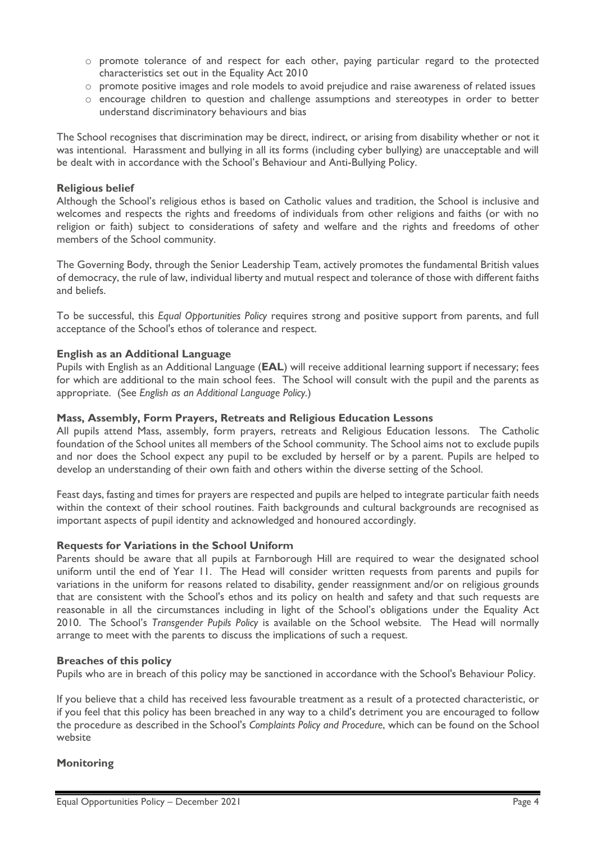- o promote tolerance of and respect for each other, paying particular regard to the protected characteristics set out in the Equality Act 2010
- o promote positive images and role models to avoid prejudice and raise awareness of related issues
- o encourage children to question and challenge assumptions and stereotypes in order to better understand discriminatory behaviours and bias

The School recognises that discrimination may be direct, indirect, or arising from disability whether or not it was intentional. Harassment and bullying in all its forms (including cyber bullying) are unacceptable and will be dealt with in accordance with the School's Behaviour and Anti-Bullying Policy.

#### **Religious belief**

Although the School's religious ethos is based on Catholic values and tradition, the School is inclusive and welcomes and respects the rights and freedoms of individuals from other religions and faiths (or with no religion or faith) subject to considerations of safety and welfare and the rights and freedoms of other members of the School community.

The Governing Body, through the Senior Leadership Team, actively promotes the fundamental British values of democracy, the rule of law, individual liberty and mutual respect and tolerance of those with different faiths and beliefs.

To be successful, this *Equal Opportunities Policy* requires strong and positive support from parents, and full acceptance of the School's ethos of tolerance and respect.

#### **English as an Additional Language**

Pupils with English as an Additional Language (**EAL**) will receive additional learning support if necessary; fees for which are additional to the main school fees. The School will consult with the pupil and the parents as appropriate. (See *English as an Additional Language Policy.*)

#### **Mass, Assembly, Form Prayers, Retreats and Religious Education Lessons**

All pupils attend Mass, assembly, form prayers, retreats and Religious Education lessons. The Catholic foundation of the School unites all members of the School community. The School aims not to exclude pupils and nor does the School expect any pupil to be excluded by herself or by a parent. Pupils are helped to develop an understanding of their own faith and others within the diverse setting of the School.

Feast days, fasting and times for prayers are respected and pupils are helped to integrate particular faith needs within the context of their school routines. Faith backgrounds and cultural backgrounds are recognised as important aspects of pupil identity and acknowledged and honoured accordingly.

#### **Requests for Variations in the School Uniform**

Parents should be aware that all pupils at Farnborough Hill are required to wear the designated school uniform until the end of Year 11. The Head will consider written requests from parents and pupils for variations in the uniform for reasons related to disability, gender reassignment and/or on religious grounds that are consistent with the School's ethos and its policy on health and safety and that such requests are reasonable in all the circumstances including in light of the School's obligations under the Equality Act 2010. The School's *Transgender Pupils Policy* is available on the School website. The Head will normally arrange to meet with the parents to discuss the implications of such a request.

#### **Breaches of this policy**

Pupils who are in breach of this policy may be sanctioned in accordance with the School's Behaviour Policy.

If you believe that a child has received less favourable treatment as a result of a protected characteristic, or if you feel that this policy has been breached in any way to a child's detriment you are encouraged to follow the procedure as described in the School's *Complaints Policy and Procedure*, which can be found on the School website

## **Monitoring**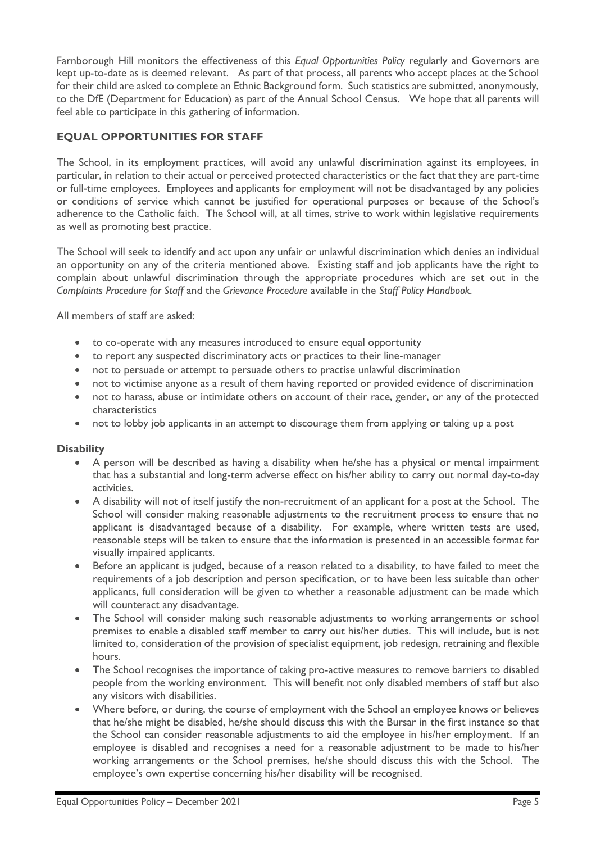Farnborough Hill monitors the effectiveness of this *Equal Opportunities Policy* regularly and Governors are kept up-to-date as is deemed relevant. As part of that process, all parents who accept places at the School for their child are asked to complete an Ethnic Background form. Such statistics are submitted, anonymously, to the DfE (Department for Education) as part of the Annual School Census. We hope that all parents will feel able to participate in this gathering of information.

## **EQUAL OPPORTUNITIES FOR STAFF**

The School, in its employment practices, will avoid any unlawful discrimination against its employees, in particular, in relation to their actual or perceived protected characteristics or the fact that they are part-time or full-time employees. Employees and applicants for employment will not be disadvantaged by any policies or conditions of service which cannot be justified for operational purposes or because of the School's adherence to the Catholic faith. The School will, at all times, strive to work within legislative requirements as well as promoting best practice.

The School will seek to identify and act upon any unfair or unlawful discrimination which denies an individual an opportunity on any of the criteria mentioned above. Existing staff and job applicants have the right to complain about unlawful discrimination through the appropriate procedures which are set out in the *Complaints Procedure for Staff* and the *Grievance Procedure* available in the *Staff Policy Handbook.*

All members of staff are asked:

- to co-operate with any measures introduced to ensure equal opportunity
- to report any suspected discriminatory acts or practices to their line-manager
- not to persuade or attempt to persuade others to practise unlawful discrimination
- not to victimise anyone as a result of them having reported or provided evidence of discrimination
- not to harass, abuse or intimidate others on account of their race, gender, or any of the protected characteristics
- not to lobby job applicants in an attempt to discourage them from applying or taking up a post

## **Disability**

- A person will be described as having a disability when he/she has a physical or mental impairment that has a substantial and long-term adverse effect on his/her ability to carry out normal day-to-day activities.
- A disability will not of itself justify the non-recruitment of an applicant for a post at the School. The School will consider making reasonable adjustments to the recruitment process to ensure that no applicant is disadvantaged because of a disability. For example, where written tests are used, reasonable steps will be taken to ensure that the information is presented in an accessible format for visually impaired applicants.
- Before an applicant is judged, because of a reason related to a disability, to have failed to meet the requirements of a job description and person specification, or to have been less suitable than other applicants, full consideration will be given to whether a reasonable adjustment can be made which will counteract any disadvantage.
- The School will consider making such reasonable adjustments to working arrangements or school premises to enable a disabled staff member to carry out his/her duties. This will include, but is not limited to, consideration of the provision of specialist equipment, job redesign, retraining and flexible hours.
- The School recognises the importance of taking pro-active measures to remove barriers to disabled people from the working environment. This will benefit not only disabled members of staff but also any visitors with disabilities.
- Where before, or during, the course of employment with the School an employee knows or believes that he/she might be disabled, he/she should discuss this with the Bursar in the first instance so that the School can consider reasonable adjustments to aid the employee in his/her employment. If an employee is disabled and recognises a need for a reasonable adjustment to be made to his/her working arrangements or the School premises, he/she should discuss this with the School. The employee's own expertise concerning his/her disability will be recognised.